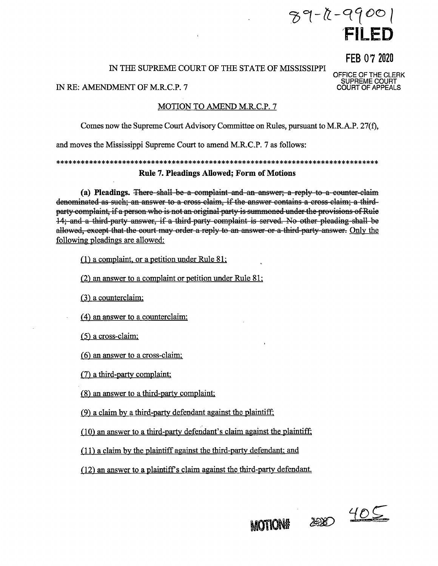# $89 - 0 - 9900$ FILED

FEB 07 2020

OFFICE OF THE CLERK<br>SUPREME COURT<br>COURT OF APPEALS

## IN THE SUPREME COURT OF THE STATE OF MISSISSIPPI

#### IN RE: AMENDMENT OF M.R.C.P. 7

## MOTION TO AMEND M.R.C.P. 7

Comes now the Supreme Court Advisory Committee on Rules, pursuant to M.R.A.P. 27(f),

and moves the Mississippi Supreme Court to amend M.R.C.P. 7 as follows:

**Rule 7. Pleadings Allowed; Form of Motions** 

(a) Pleadings. There shall be a complaint and an answer; a reply to a counter-claim denominated as such; an answer to a cross claim, if the answer contains a cross claim; a thirdparty complaint, if a person who is not an original party is summoned under the provisions of Rule 14; and a third-party answer, if a third-party complaint is served. No other pleading-shall be allowed, except that the court may order a reply to an answer or a third-party answer. Only the following pleadings are allowed:

 $(1)$  a complaint, or a petition under Rule 81;

(2) an answer to a complaint or petition under Rule 81;

 $(3)$  a counterclaim;

(4) an answer to a counterclaim:

 $(5)$  a cross-claim;

 $(6)$  an answer to a cross-claim;

(7) a third-party complaint;

(8) an answer to a third-party complaint;

(9) a claim by a third-party defendant against the plaintiff;

(10) an answer to a third-party defendant's claim against the plaintiff.

(11) a claim by the plaintiff against the third-party defendant; and

(12) an answer to a plaintiff's claim against the third-party defendant.

200 405

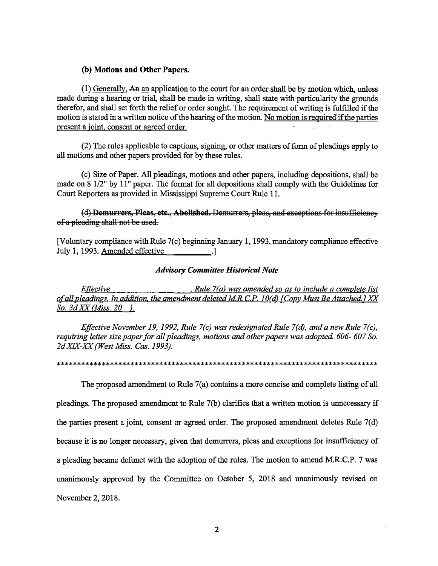#### (b) Motions and Other Papers.

(1) Generally, An an application to the court for an order shall be by motion which, unless made during a hearing or trial, shall be made in writing, shall state with particularity the grounds therefor, and shall set forth the relief or order sought. The requirement of writing is fulfilled if the motion is stated in a written notice of the hearing of the motion. No motion is required if the parties present a joint, consent or agreed order.

(2) The rules applicable to captions, signing, or other matters of form of pleadings apply to all motions and other papers provided for by these rules.

(c) Size of Paper. All pleadings, motions and other papers, including depositions, shall be made on 8 1/2" by 11" paper. The format for all depositions shall comply with the Guidelines for Court Reporters as provided in Mississippi Supreme Court Rule 11.

(d) Demurrers, Pleas, etc., Abolished. Demurrers, pleas, and exceptions for insufficiency of a pleading shall not be used.

[Voluntary compliance with Rule 7(c) beginning January 1, 1993, mandatory compliance effective July 1, 1993. Amended effective [100]

## **Advisory Committee Historical Note**

, Rule 7(a) was amended so as to include a complete list *Effective* of all pleadings. In addition, the amendment deleted M.R.C.P. 10(d) [Copy Must Be Attached.] XX So.  $3d$  XX (Miss. 20 ).

Effective November 19, 1992, Rule 7(c) was redesignated Rule 7(d), and a new Rule 7(c), requiring letter size paper for all pleadings, motions and other papers was adopted. 606-607 So. 2d XIX-XX (West Miss. Cas. 1993).

The proposed amendment to Rule 7(a) contains a more concise and complete listing of all pleadings. The proposed amendment to Rule 7(b) clarifies that a written motion is unnecessary if the parties present a joint, consent or agreed order. The proposed amendment deletes Rule  $7(d)$ because it is no longer necessary, given that demurrers, pleas and exceptions for insufficiency of a pleading became defunct with the adoption of the rules. The motion to amend M.R.C.P. 7 was unanimously approved by the Committee on October 5, 2018 and unanimously revised on November 2, 2018.